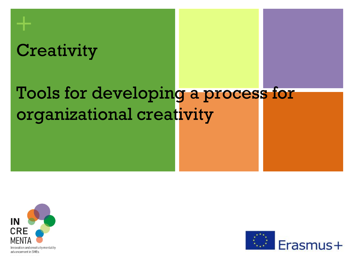# **Creativity**

**+**

# Tools for developing a process for organizational creativity



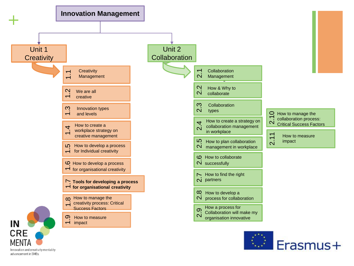

Innovation and creativity mentality advancement in SMEs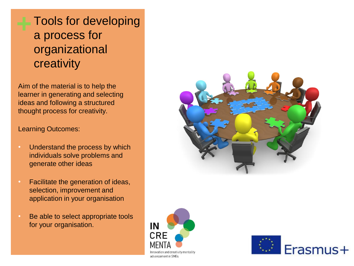Aim of the material is to help the learner in generating and selecting ideas and following a structured thought process for creativity.

#### Learning Outcomes:

- Understand the process by which individuals solve problems and generate other ideas
- Facilitate the generation of ideas, selection, improvement and application in your organisation
- Be able to select appropriate tools for your organisation.





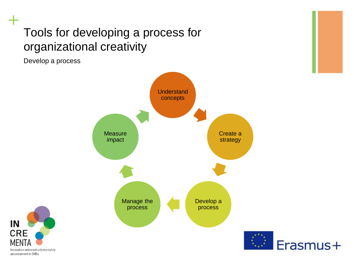Develop a process





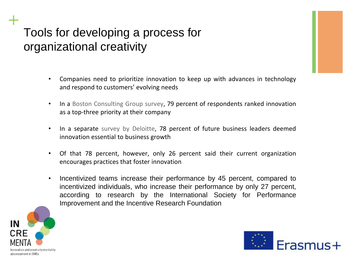- Companies need to prioritize innovation to keep up with advances in technology and respond to customers' evolving needs
- In a Boston Consulting Group survey, 79 percent of respondents ranked innovation as a top-three priority at their company
- In a separate survey by Deloitte, 78 percent of future business leaders deemed innovation essential to business growth
- Of that 78 percent, however, only 26 percent said their current organization encourages practices that foster innovation
- Incentivized teams increase their performance by 45 percent, compared to incentivized individuals, who increase their performance by only 27 percent, according to research by the International Society for Performance Improvement and the Incentive Research Foundation



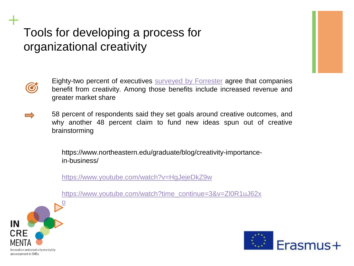

**+**

Eighty-two percent of executives surveyed by [Forrester](https://landing.adobe.com/dam/downloads/whitepapers/55563.en.creative-dividends.pdf) agree that companies benefit from creativity. Among those benefits include increased revenue and greater market share

58 percent of respondents said they set goals around creative outcomes, and why another 48 percent claim to fund new ideas spun out of creative brainstorming

> https://www.northeastern.edu/graduate/blog/creativity-importancein-business/

<https://www.youtube.com/watch?v=HgJejeDkZ9w>

[https://www.youtube.com/watch?time\\_continue=3&v=Zl0R1uJ62x](https://www.youtube.com/watch?time_continue=3&v=Zl0R1uJ62xo)



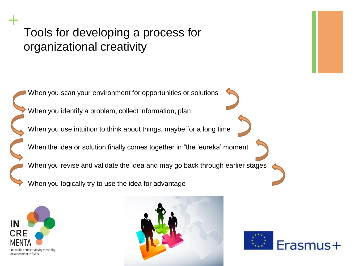





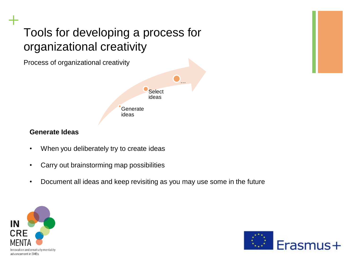Process of organizational creativity



#### **Generate Ideas**

- When you deliberately try to create ideas
- Carry out brainstorming map possibilities
- Document all ideas and keep revisiting as you may use some in the future



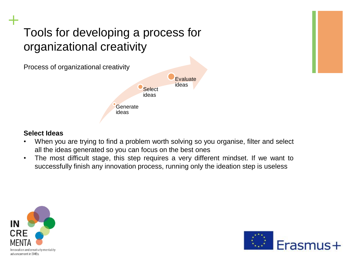

#### **Select Ideas**

- When you are trying to find a problem worth solving so you organise, filter and select all the ideas generated so you can focus on the best ones
- The most difficult stage, this step requires a very different mindset. If we want to successfully finish any innovation process, running only the ideation step is useless



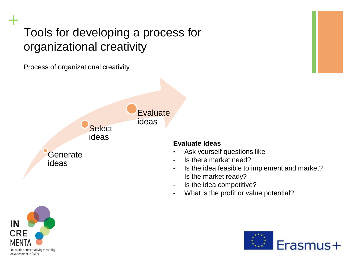Process of organizational creativity



#### **Evaluate Ideas**

- Ask yourself questions like
- Is there market need?
- Is the idea feasible to implement and market?
- Is the market ready?
- Is the idea competitive?
- What is the profit or value potential?



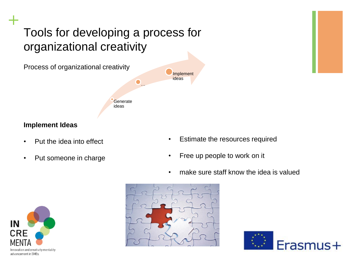

#### **Implement Ideas**

- Put the idea into effect
- Put someone in charge
- Estimate the resources required
- Free up people to work on it
- make sure staff know the idea is valued





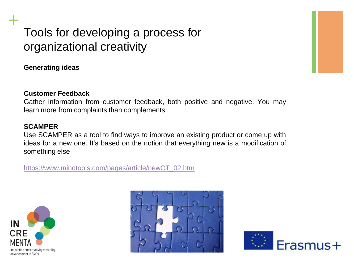**Generating ideas**

**+**

#### **Customer Feedback**

Gather information from customer feedback, both positive and negative. You may learn more from complaints than complements.

#### **SCAMPER**

Use SCAMPER as a tool to find ways to improve an existing product or come up with ideas for a new one. It's based on the notion that everything new is a modification of something else

[https://www.mindtools.com/pages/article/newCT\\_02.htm](https://www.mindtools.com/pages/article/newCT_02.htm)





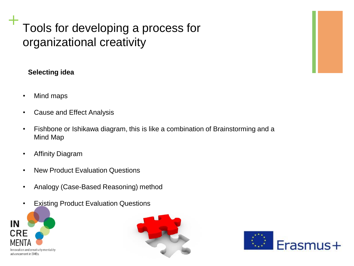### **Selecting idea**

- Mind maps
- Cause and Effect Analysis
- Fishbone or Ishikawa diagram, this is like a combination of Brainstorming and a Mind Map
- Affinity Diagram
- New Product Evaluation Questions
- Analogy (Case-Based Reasoning) method
- **Existing Product Evaluation Questions**